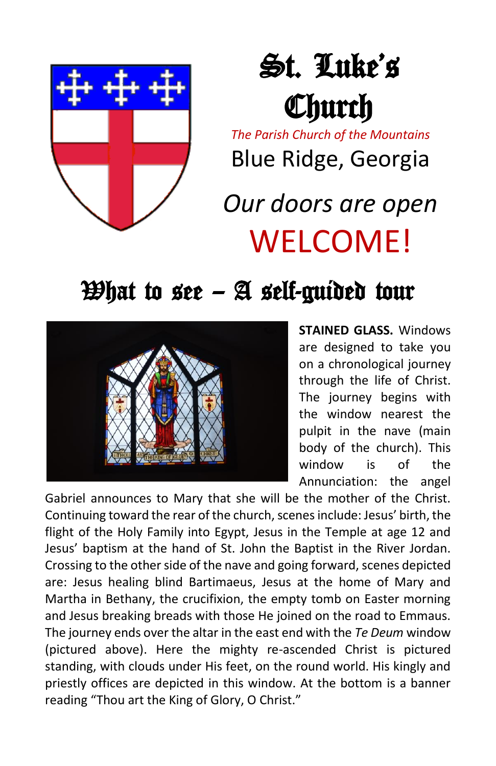

# St. Luke's **Church**

*The Parish Church of the Mountains* Blue Ridge, Georgia

# *Our doors are open* WELCOME!

## $\mathfrak{B}$ hat to see – A self-guided tour



**STAINED GLASS.** Windows are designed to take you on a chronological journey through the life of Christ. The journey begins with the window nearest the pulpit in the nave (main body of the church). This window is of the Annunciation: the angel

Gabriel announces to Mary that she will be the mother of the Christ. Continuing toward the rear of the church, scenes include: Jesus' birth, the flight of the Holy Family into Egypt, Jesus in the Temple at age 12 and Jesus' baptism at the hand of St. John the Baptist in the River Jordan. Crossing to the other side of the nave and going forward, scenes depicted are: Jesus healing blind Bartimaeus, Jesus at the home of Mary and Martha in Bethany, the crucifixion, the empty tomb on Easter morning and Jesus breaking breads with those He joined on the road to Emmaus. The journey ends over the altar in the east end with the *Te Deum* window (pictured above). Here the mighty re-ascended Christ is pictured standing, with clouds under His feet, on the round world. His kingly and priestly offices are depicted in this window. At the bottom is a banner reading "Thou art the King of Glory, O Christ."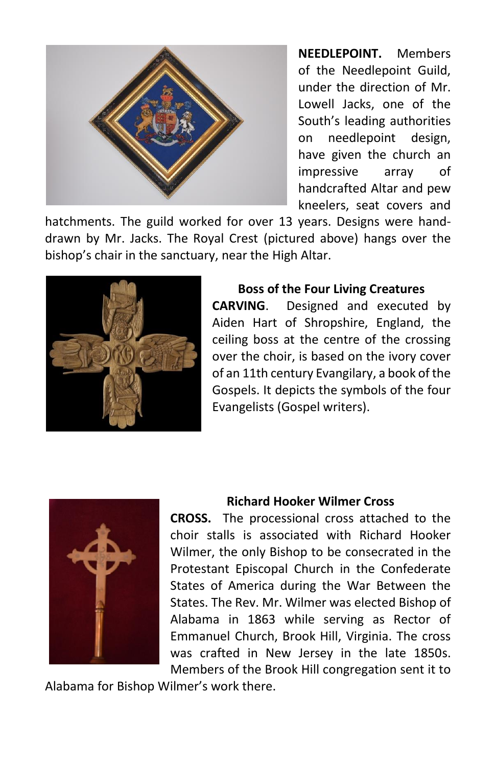

**NEEDLEPOINT.** Members of the Needlepoint Guild, under the direction of Mr. Lowell Jacks, one of the South's leading authorities on needlepoint design, have given the church an impressive array of handcrafted Altar and pew kneelers, seat covers and

hatchments. The guild worked for over 13 years. Designs were handdrawn by Mr. Jacks. The Royal Crest (pictured above) hangs over the bishop's chair in the sanctuary, near the High Altar.



#### **Boss of the Four Living Creatures**

**CARVING**. Designed and executed by Aiden Hart of Shropshire, England, the ceiling boss at the centre of the crossing over the choir, is based on the ivory cover of an 11th century Evangilary, a book of the Gospels. It depicts the symbols of the four Evangelists (Gospel writers).



#### **Richard Hooker Wilmer Cross**

**CROSS.** The processional cross attached to the choir stalls is associated with Richard Hooker Wilmer, the only Bishop to be consecrated in the Protestant Episcopal Church in the Confederate States of America during the War Between the States. The Rev. Mr. Wilmer was elected Bishop of Alabama in 1863 while serving as Rector of Emmanuel Church, Brook Hill, Virginia. The cross was crafted in New Jersey in the late 1850s. Members of the Brook Hill congregation sent it to

Alabama for Bishop Wilmer's work there.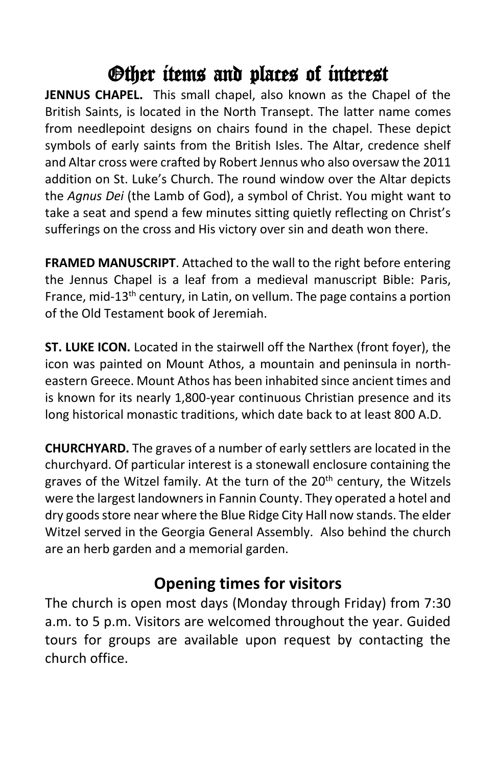## Other items and places of interest

**JENNUS CHAPEL.** This small chapel, also known as the Chapel of the British Saints, is located in the North Transept. The latter name comes from needlepoint designs on chairs found in the chapel. These depict symbols of early saints from the British Isles. The Altar, credence shelf and Altar cross were crafted by Robert Jennus who also oversaw the 2011 addition on St. Luke's Church. The round window over the Altar depicts the *Agnus Dei* (the Lamb of God), a symbol of Christ. You might want to take a seat and spend a few minutes sitting quietly reflecting on Christ's sufferings on the cross and His victory over sin and death won there.

**FRAMED MANUSCRIPT**. Attached to the wall to the right before entering the Jennus Chapel is a leaf from a medieval manuscript Bible: Paris, France, mid-13<sup>th</sup> century, in Latin, on vellum. The page contains a portion of the Old Testament book of Jeremiah.

**ST. LUKE ICON.** Located in the stairwell off the Narthex (front foyer), the icon was painted on Mount Athos, a mountain and [peninsula](https://en.wikipedia.org/wiki/Peninsula) in northeastern [Greece.](https://en.wikipedia.org/wiki/Greece) Mount Athos has been inhabited since ancient times and is known for its nearly 1,800-year continuous Christian presence and its long historical monastic traditions, which date back to at least 800 A.D.

**CHURCHYARD.** The graves of a number of early settlers are located in the churchyard. Of particular interest is a stonewall enclosure containing the graves of the Witzel family. At the turn of the 20<sup>th</sup> century, the Witzels were the largest landowners in Fannin County. They operated a hotel and dry goods store near where the Blue Ridge City Hall now stands. The elder Witzel served in the Georgia General Assembly. Also behind the church are an herb garden and a memorial garden.

### **Opening times for visitors**

The church is open most days (Monday through Friday) from 7:30 a.m. to 5 p.m. Visitors are welcomed throughout the year. Guided tours for groups are available upon request by contacting the church office.